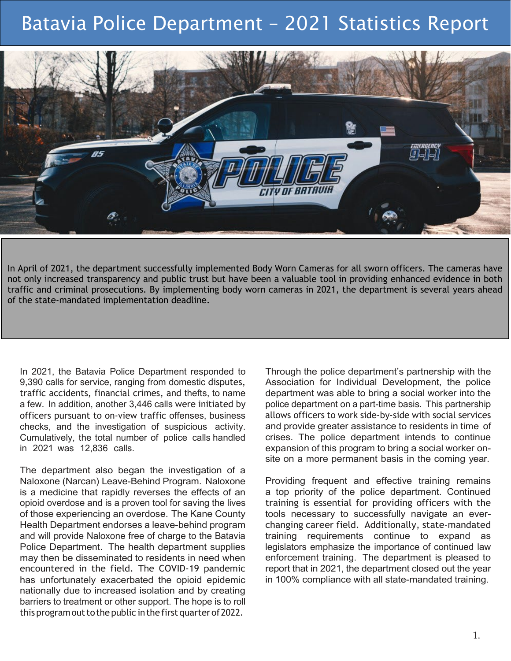# Batavia Police Department – 2021 Statistics Report



In April of 2021, the department successfully implemented Body Worn Cameras for all sworn officers. The cameras have not only increased transparency and public trust but have been a valuable tool in providing enhanced evidence in both traffic and criminal prosecutions. By implementing body worn cameras in 2021, the department is several years ahead of the state-mandated implementation deadline.

In 2021, the Batavia Police Department responded to 9,390 calls for service, ranging from domestic disputes, traffic accidents, financial crimes, and thefts, to name a few. In addition, another 3,446 calls were initiated by officers pursuant to on-view traffic offenses, business checks, and the investigation of suspicious activity. Cumulatively, the total number of police calls handled in 2021 was 12,836 calls.

The department also began the investigation of a Naloxone (Narcan) Leave-Behind Program. Naloxone is a medicine that rapidly reverses the effects of an opioid overdose and is a proven tool for saving the lives of those experiencing an overdose. The Kane County Health Department endorses a leave-behind program and will provide Naloxone free of charge to the Batavia Police Department. The health department supplies may then be disseminated to residents in need when encountered in the field. The COVID-19 pandemic has unfortunately exacerbated the opioid epidemic nationally due to increased isolation and by creating barriers to treatment or other support. The hope is to roll this program out to the public in the first quarter of 2022.

Through the police department's partnership with the Association for Individual Development, the police department was able to bring a social worker into the police department on a part-time basis. This partnership allows officers to work side-by-side with social services and provide greater assistance to residents in time of crises. The police department intends to continue expansion of this program to bring a social worker onsite on a more permanent basis in the coming year.

Providing frequent and effective training remains a top priority of the police department. Continued training is essential for providing officers with the tools necessary to successfully navigate an everchanging career field. Additionally, state-mandated training requirements continue to expand as legislators emphasize the importance of continued law enforcement training. The department is pleased to report that in 2021, the department closed out the year in 100% compliance with all state-mandated training.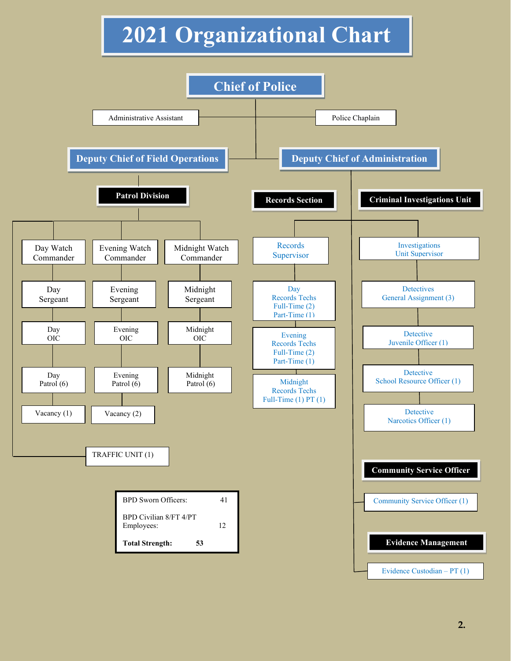# **2021 Organizational Chart**

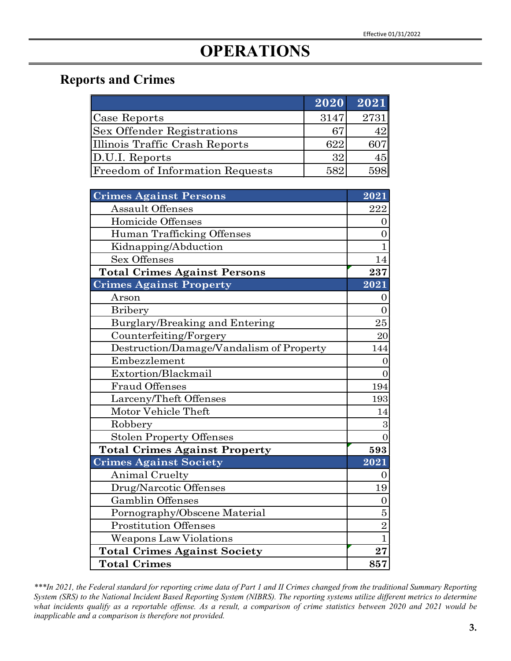# **OPERATIONS**

#### **Reports and Crimes**

|                                        | 2020 | 2021 |
|----------------------------------------|------|------|
| Case Reports                           | 3147 | 2731 |
| <b>Sex Offender Registrations</b>      | 67   | 42   |
| Illinois Traffic Crash Reports         | 622  |      |
| $\mathbb{D}$ .U.I. Reports             | 32   | 45   |
| <b>Freedom of Information Requests</b> | 582  | 598  |

| <b>Crimes Against Persons</b>            | $\overline{2021}$ |
|------------------------------------------|-------------------|
| <b>Assault Offenses</b>                  | 222               |
| Homicide Offenses                        | O                 |
| Human Trafficking Offenses               | 0                 |
| Kidnapping/Abduction                     | 1                 |
| <b>Sex Offenses</b>                      | 14                |
| <b>Total Crimes Against Persons</b>      | 237               |
| <b>Crimes Against Property</b>           | 2021              |
| Arson                                    | 0                 |
| <b>Bribery</b>                           | $\overline{0}$    |
| Burglary/Breaking and Entering           | 25                |
| Counterfeiting/Forgery                   | 20                |
| Destruction/Damage/Vandalism of Property | 144               |
| Embezzlement                             | 0                 |
| Extortion/Blackmail                      | 0                 |
| <b>Fraud Offenses</b>                    | 194               |
| Larceny/Theft Offenses                   | 193               |
| Motor Vehicle Theft                      | 14                |
| Robbery                                  | 3                 |
| <b>Stolen Property Offenses</b>          | $\Omega$          |
| <b>Total Crimes Against Property</b>     | 593               |
| <b>Crimes Against Society</b>            | 2021              |
| Animal Cruelty                           | O                 |
| Drug/Narcotic Offenses                   | 19                |
| <b>Gamblin Offenses</b>                  | 0                 |
| Pornography/Obscene Material             | 5                 |
| <b>Prostitution Offenses</b>             | $\overline{2}$    |
| Weapons Law Violations                   | $\mathbf{1}$      |
| <b>Total Crimes Against Society</b>      | 27                |
| <b>Total Crimes</b>                      | 857               |

*\*\*\*In 2021, the Federal standard for reporting crime data of Part 1 and II Crimes changed from the traditional Summary Reporting System (SRS) to the National Incident Based Reporting System (NIBRS). The reporting systems utilize different metrics to determine what incidents qualify as a reportable offense. As a result, a comparison of crime statistics between 2020 and 2021 would be inapplicable and a comparison is therefore not provided.*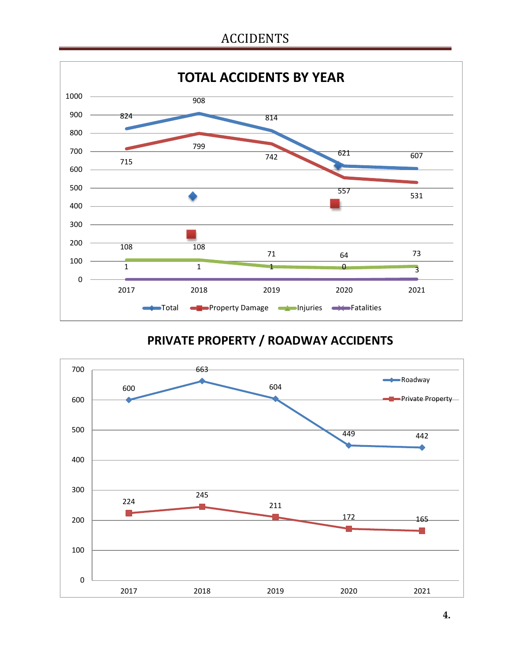### ACCIDENTS



### **PRIVATE PROPERTY / ROADWAY ACCIDENTS**

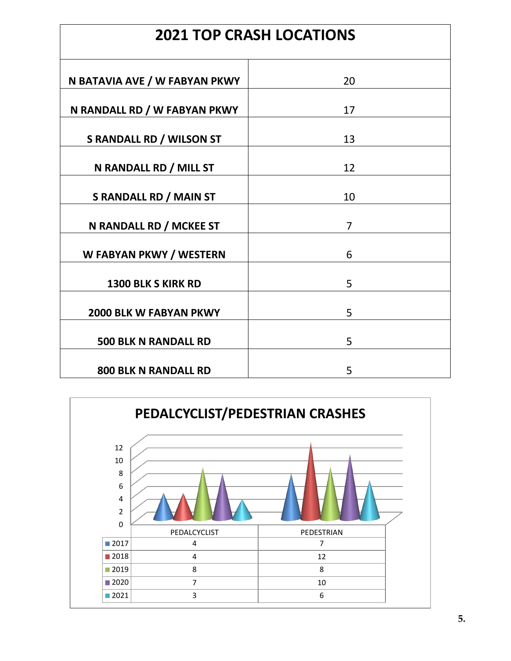| <b>2021 TOP CRASH LOCATIONS</b> |                |  |
|---------------------------------|----------------|--|
| N BATAVIA AVE / W FABYAN PKWY   | 20             |  |
| N RANDALL RD / W FABYAN PKWY    | 17             |  |
| <b>S RANDALL RD / WILSON ST</b> | 13             |  |
| N RANDALL RD / MILL ST          | 12             |  |
| <b>S RANDALL RD / MAIN ST</b>   | 10             |  |
| N RANDALL RD / MCKEE ST         | $\overline{7}$ |  |
| W FABYAN PKWY / WESTERN         | 6              |  |
| <b>1300 BLK S KIRK RD</b>       | 5              |  |
| <b>2000 BLK W FABYAN PKWY</b>   | 5              |  |
| <b>500 BLK N RANDALL RD</b>     | 5              |  |
| <b>800 BLK N RANDALL RD</b>     | 5              |  |

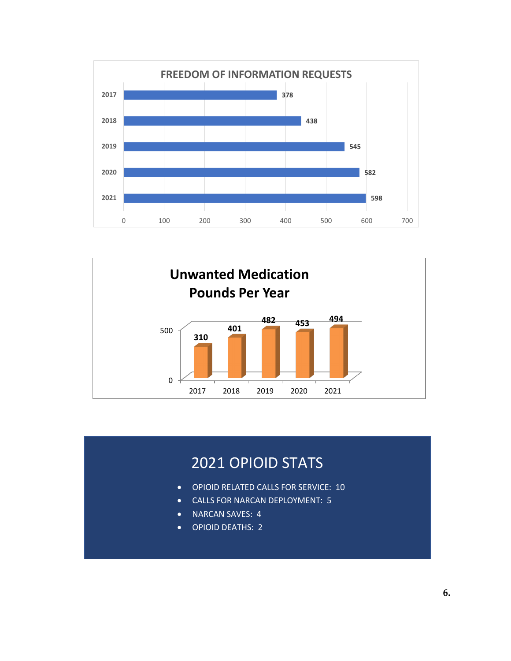



## OPIOID STATS

- **OPIOID RELATED CALLS FOR SERVICE: 10**
- CALLS FOR NARCAN DEPLOYMENT: 5
- NARCAN SAVES: 4
- OPIOID DEATHS: 2